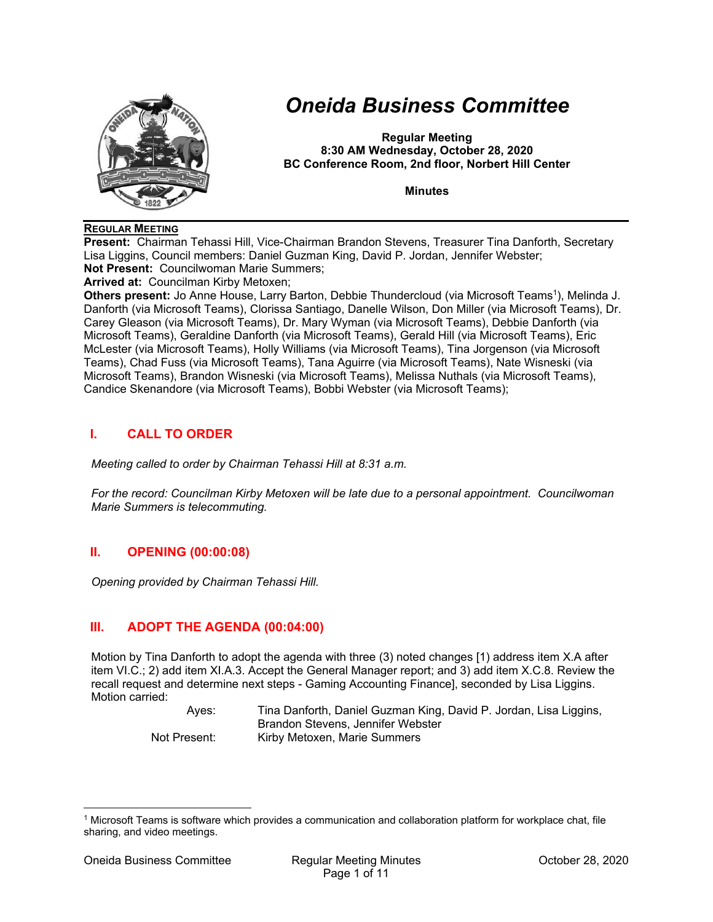

# *Oneida Business Committee*

**Regular Meeting 8:30 AM Wednesday, October 28, 2020 BC Conference Room, 2nd floor, Norbert Hill Center** 

**Minutes** 

### **REGULAR MEETING**

**Present:** Chairman Tehassi Hill, Vice-Chairman Brandon Stevens, Treasurer Tina Danforth, Secretary Lisa Liggins, Council members: Daniel Guzman King, David P. Jordan, Jennifer Webster; **Not Present:** Councilwoman Marie Summers;

**Arrived at:** Councilman Kirby Metoxen;

**Others present:** Jo Anne House, Larry Barton, Debbie Thundercloud (via Microsoft Teams<sup>1</sup>), Melinda J. Danforth (via Microsoft Teams), Clorissa Santiago, Danelle Wilson, Don Miller (via Microsoft Teams), Dr. Carey Gleason (via Microsoft Teams), Dr. Mary Wyman (via Microsoft Teams), Debbie Danforth (via Microsoft Teams), Geraldine Danforth (via Microsoft Teams), Gerald Hill (via Microsoft Teams), Eric McLester (via Microsoft Teams), Holly Williams (via Microsoft Teams), Tina Jorgenson (via Microsoft Teams), Chad Fuss (via Microsoft Teams), Tana Aguirre (via Microsoft Teams), Nate Wisneski (via Microsoft Teams), Brandon Wisneski (via Microsoft Teams), Melissa Nuthals (via Microsoft Teams), Candice Skenandore (via Microsoft Teams), Bobbi Webster (via Microsoft Teams);

# **I. CALL TO ORDER**

*Meeting called to order by Chairman Tehassi Hill at 8:31 a.m.* 

*For the record: Councilman Kirby Metoxen will be late due to a personal appointment. Councilwoman Marie Summers is telecommuting.* 

# **II. OPENING (00:00:08)**

*Opening provided by Chairman Tehassi Hill.* 

# **III. ADOPT THE AGENDA (00:04:00)**

Motion by Tina Danforth to adopt the agenda with three (3) noted changes [1) address item X.A after item VI.C.; 2) add item XI.A.3. Accept the General Manager report; and 3) add item X.C.8. Review the recall request and determine next steps - Gaming Accounting Finance], seconded by Lisa Liggins. Motion carried:

> Ayes: Tina Danforth, Daniel Guzman King, David P. Jordan, Lisa Liggins, Brandon Stevens, Jennifer Webster Not Present: Kirby Metoxen, Marie Summers

<sup>1</sup> Microsoft Teams is software which provides a communication and collaboration platform for workplace chat, file sharing, and video meetings.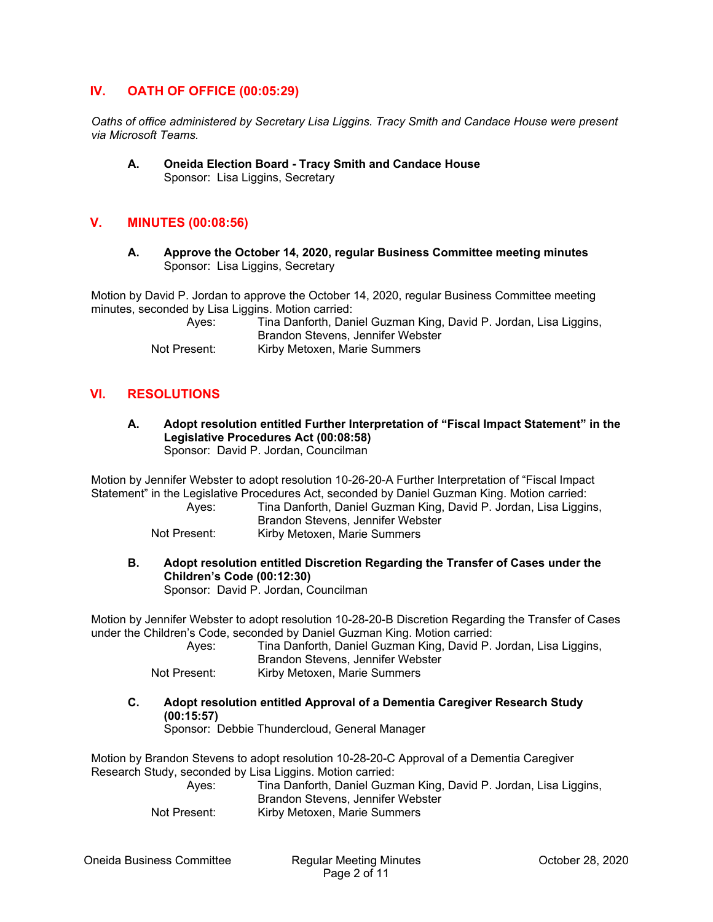## **IV. OATH OF OFFICE (00:05:29)**

*Oaths of office administered by Secretary Lisa Liggins. Tracy Smith and Candace House were present via Microsoft Teams.* 

#### **A. Oneida Election Board - Tracy Smith and Candace House**  Sponsor: Lisa Liggins, Secretary

# **V. MINUTES (00:08:56)**

**A. Approve the October 14, 2020, regular Business Committee meeting minutes**  Sponsor: Lisa Liggins, Secretary

Motion by David P. Jordan to approve the October 14, 2020, regular Business Committee meeting minutes, seconded by Lisa Liggins. Motion carried:

> Ayes: Tina Danforth, Daniel Guzman King, David P. Jordan, Lisa Liggins, Brandon Stevens, Jennifer Webster Not Present: Kirby Metoxen, Marie Summers

## **VI. RESOLUTIONS**

**A. Adopt resolution entitled Further Interpretation of "Fiscal Impact Statement" in the Legislative Procedures Act (00:08:58)**  Sponsor: David P. Jordan, Councilman

Motion by Jennifer Webster to adopt resolution 10-26-20-A Further Interpretation of "Fiscal Impact Statement" in the Legislative Procedures Act, seconded by Daniel Guzman King. Motion carried:

| Ayes:        | Tina Danforth, Daniel Guzman King, David P. Jordan, Lisa Liggins, |
|--------------|-------------------------------------------------------------------|
|              | Brandon Stevens, Jennifer Webster                                 |
| Not Present: | Kirby Metoxen, Marie Summers                                      |

**B. Adopt resolution entitled Discretion Regarding the Transfer of Cases under the Children's Code (00:12:30)**  Sponsor: David P. Jordan, Councilman

Motion by Jennifer Webster to adopt resolution 10-28-20-B Discretion Regarding the Transfer of Cases under the Children's Code, seconded by Daniel Guzman King. Motion carried:

| Aves:        | Tina Danforth, Daniel Guzman King, David P. Jordan, Lisa Liggins,<br>Brandon Stevens, Jennifer Webster |
|--------------|--------------------------------------------------------------------------------------------------------|
| Not Present: | Kirby Metoxen, Marie Summers                                                                           |

**C. Adopt resolution entitled Approval of a Dementia Caregiver Research Study (00:15:57)** 

Sponsor: Debbie Thundercloud, General Manager

Motion by Brandon Stevens to adopt resolution 10-28-20-C Approval of a Dementia Caregiver Research Study, seconded by Lisa Liggins. Motion carried:

| Aves:        | Tina Danforth, Daniel Guzman King, David P. Jordan, Lisa Liggins, |
|--------------|-------------------------------------------------------------------|
|              | Brandon Stevens, Jennifer Webster                                 |
| Not Present: | Kirby Metoxen, Marie Summers                                      |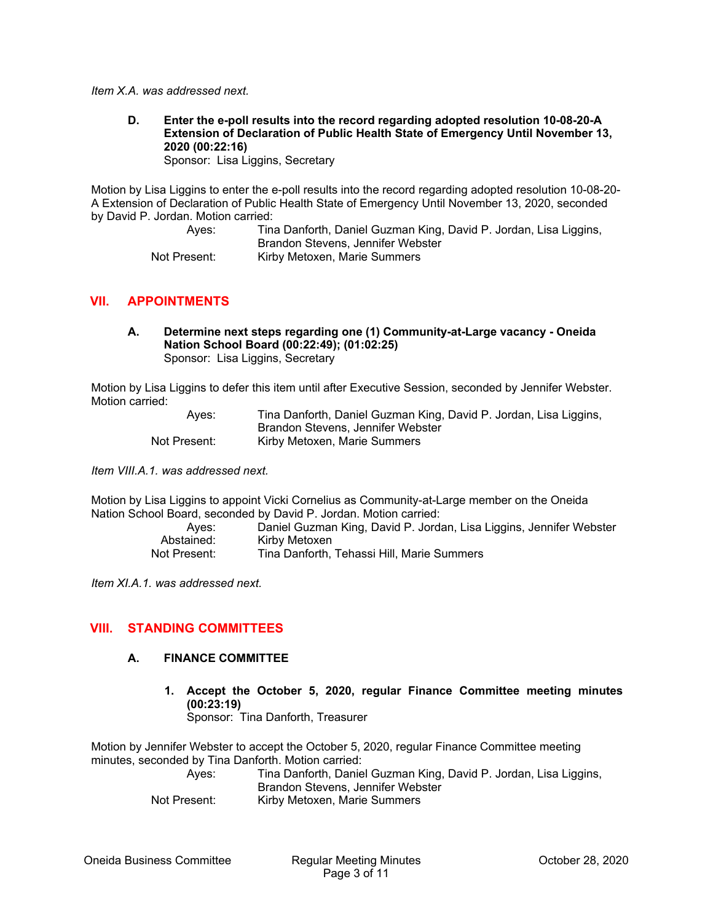*Item X.A. was addressed next.* 

**D. Enter the e-poll results into the record regarding adopted resolution 10-08-20-A Extension of Declaration of Public Health State of Emergency Until November 13, 2020 (00:22:16)** 

Sponsor: Lisa Liggins, Secretary

Motion by Lisa Liggins to enter the e-poll results into the record regarding adopted resolution 10-08-20- A Extension of Declaration of Public Health State of Emergency Until November 13, 2020, seconded by David P. Jordan. Motion carried:

> Ayes: Tina Danforth, Daniel Guzman King, David P. Jordan, Lisa Liggins, Brandon Stevens, Jennifer Webster Not Present: Kirby Metoxen, Marie Summers

## **VII. APPOINTMENTS**

**A. Determine next steps regarding one (1) Community-at-Large vacancy - Oneida Nation School Board (00:22:49); (01:02:25)**  Sponsor: Lisa Liggins, Secretary

Motion by Lisa Liggins to defer this item until after Executive Session, seconded by Jennifer Webster. Motion carried:

| Ayes:        | Tina Danforth, Daniel Guzman King, David P. Jordan, Lisa Liggins, |
|--------------|-------------------------------------------------------------------|
|              | Brandon Stevens, Jennifer Webster                                 |
| Not Present: | Kirby Metoxen, Marie Summers                                      |

*Item VIII.A.1. was addressed next.* 

Motion by Lisa Liggins to appoint Vicki Cornelius as Community-at-Large member on the Oneida Nation School Board, seconded by David P. Jordan. Motion carried:

| Aves:        | Daniel Guzman King, David P. Jordan, Lisa Liggins, Jennifer Webster |
|--------------|---------------------------------------------------------------------|
| Abstained:   | Kirby Metoxen                                                       |
| Not Present: | Tina Danforth, Tehassi Hill, Marie Summers                          |

*Item XI.A.1. was addressed next.* 

## **VIII. STANDING COMMITTEES**

## **A. FINANCE COMMITTEE**

**1. Accept the October 5, 2020, regular Finance Committee meeting minutes (00:23:19)**  Sponsor: Tina Danforth, Treasurer

Motion by Jennifer Webster to accept the October 5, 2020, regular Finance Committee meeting minutes, seconded by Tina Danforth. Motion carried:

 Ayes: Tina Danforth, Daniel Guzman King, David P. Jordan, Lisa Liggins, Brandon Stevens, Jennifer Webster Not Present: Kirby Metoxen, Marie Summers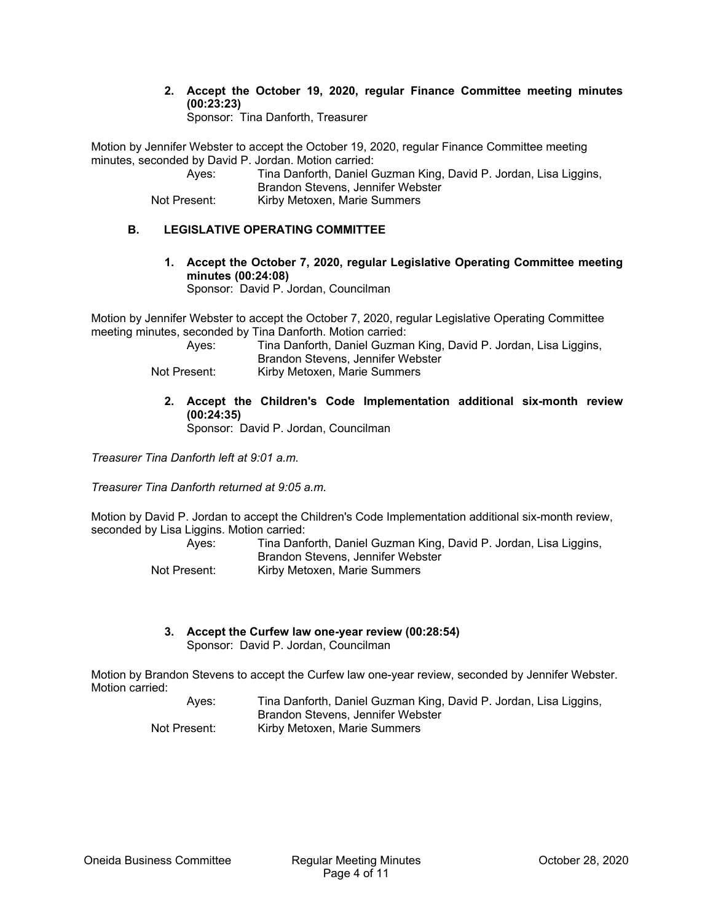**2. Accept the October 19, 2020, regular Finance Committee meeting minutes (00:23:23)** 

Sponsor: Tina Danforth, Treasurer

Motion by Jennifer Webster to accept the October 19, 2020, regular Finance Committee meeting minutes, seconded by David P. Jordan. Motion carried:

| Aves:        | Tina Danforth, Daniel Guzman King, David P. Jordan, Lisa Liggins, |
|--------------|-------------------------------------------------------------------|
|              | Brandon Stevens, Jennifer Webster                                 |
| Not Present: | Kirby Metoxen, Marie Summers                                      |

## **B. LEGISLATIVE OPERATING COMMITTEE**

**1. Accept the October 7, 2020, regular Legislative Operating Committee meeting minutes (00:24:08)** 

Sponsor: David P. Jordan, Councilman

Motion by Jennifer Webster to accept the October 7, 2020, regular Legislative Operating Committee meeting minutes, seconded by Tina Danforth. Motion carried:

| Aves:        | Tina Danforth, Daniel Guzman King, David P. Jordan, Lisa Liggins,<br><b>Brandon Stevens, Jennifer Webster</b> |
|--------------|---------------------------------------------------------------------------------------------------------------|
| Not Present: | Kirby Metoxen, Marie Summers                                                                                  |

**2. Accept the Children's Code Implementation additional six-month review (00:24:35)** 

Sponsor: David P. Jordan, Councilman

*Treasurer Tina Danforth left at 9:01 a.m.* 

*Treasurer Tina Danforth returned at 9:05 a.m.* 

Motion by David P. Jordan to accept the Children's Code Implementation additional six-month review, seconded by Lisa Liggins. Motion carried:

| Aves:        | Tina Danforth, Daniel Guzman King, David P. Jordan, Lisa Liggins,<br>Brandon Stevens, Jennifer Webster |
|--------------|--------------------------------------------------------------------------------------------------------|
| Not Present: | Kirby Metoxen, Marie Summers                                                                           |

**3. Accept the Curfew law one-year review (00:28:54)**  Sponsor: David P. Jordan, Councilman

Motion by Brandon Stevens to accept the Curfew law one-year review, seconded by Jennifer Webster. Motion carried:

 Ayes: Tina Danforth, Daniel Guzman King, David P. Jordan, Lisa Liggins, Brandon Stevens, Jennifer Webster Not Present: Kirby Metoxen, Marie Summers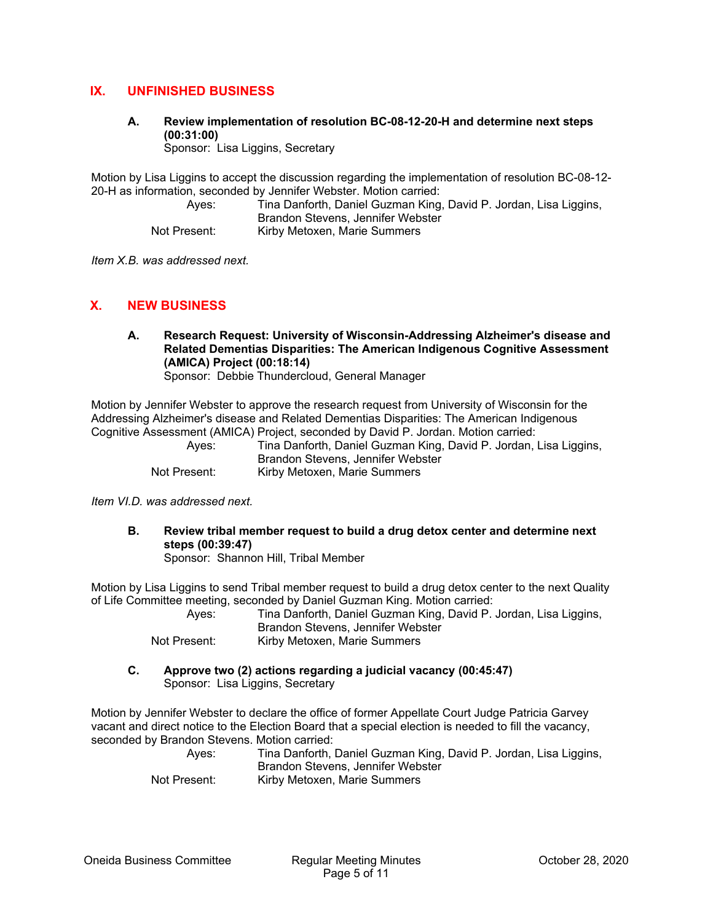# **IX. UNFINISHED BUSINESS**

**A. Review implementation of resolution BC-08-12-20-H and determine next steps (00:31:00)** 

Sponsor: Lisa Liggins, Secretary

Motion by Lisa Liggins to accept the discussion regarding the implementation of resolution BC-08-12- 20-H as information, seconded by Jennifer Webster. Motion carried:

 Ayes: Tina Danforth, Daniel Guzman King, David P. Jordan, Lisa Liggins, Brandon Stevens, Jennifer Webster Not Present: Kirby Metoxen, Marie Summers

*Item X.B. was addressed next.* 

## **X. NEW BUSINESS**

**A. Research Request: University of Wisconsin-Addressing Alzheimer's disease and Related Dementias Disparities: The American Indigenous Cognitive Assessment (AMICA) Project (00:18:14)**  Sponsor: Debbie Thundercloud, General Manager

Motion by Jennifer Webster to approve the research request from University of Wisconsin for the Addressing Alzheimer's disease and Related Dementias Disparities: The American Indigenous Cognitive Assessment (AMICA) Project, seconded by David P. Jordan. Motion carried:

|              | Oognitive Assessment (AivitoA) i Toject, seconded by David F. Jondan. Motion camed. |
|--------------|-------------------------------------------------------------------------------------|
| Aves:        | Tina Danforth, Daniel Guzman King, David P. Jordan, Lisa Liggins,                   |
|              | Brandon Stevens, Jennifer Webster                                                   |
| Not Present: | Kirby Metoxen, Marie Summers                                                        |

*Item VI.D. was addressed next.* 

**B. Review tribal member request to build a drug detox center and determine next steps (00:39:47)** 

Sponsor: Shannon Hill, Tribal Member

Motion by Lisa Liggins to send Tribal member request to build a drug detox center to the next Quality of Life Committee meeting, seconded by Daniel Guzman King. Motion carried:

| Ayes:        |                                   | Tina Danforth, Daniel Guzman King, David P. Jordan, Lisa Liggins, |
|--------------|-----------------------------------|-------------------------------------------------------------------|
|              | Brandon Stevens, Jennifer Webster |                                                                   |
| Not Present: | Kirby Metoxen, Marie Summers      |                                                                   |

**C. Approve two (2) actions regarding a judicial vacancy (00:45:47)**  Sponsor: Lisa Liggins, Secretary

Motion by Jennifer Webster to declare the office of former Appellate Court Judge Patricia Garvey vacant and direct notice to the Election Board that a special election is needed to fill the vacancy, seconded by Brandon Stevens. Motion carried:

| Aves:        | Tina Danforth, Daniel Guzman King, David P. Jordan, Lisa Liggins,<br>Brandon Stevens, Jennifer Webster |
|--------------|--------------------------------------------------------------------------------------------------------|
| Not Present: | Kirby Metoxen, Marie Summers                                                                           |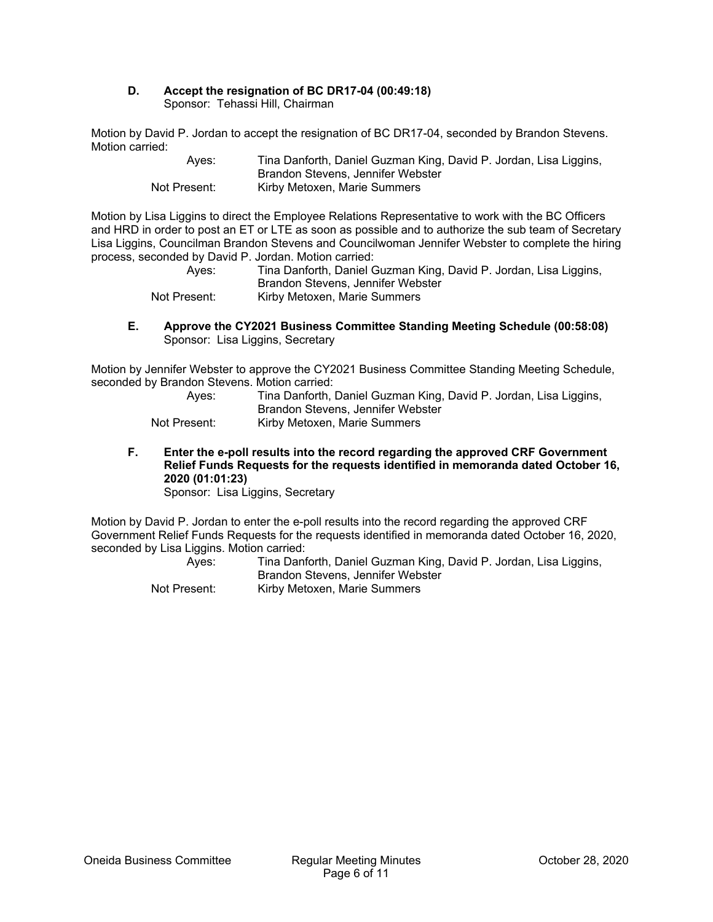#### **D. Accept the resignation of BC DR17-04 (00:49:18)**  Sponsor: Tehassi Hill, Chairman

Motion by David P. Jordan to accept the resignation of BC DR17-04, seconded by Brandon Stevens. Motion carried:

| Aves:        | Tina Danforth, Daniel Guzman King, David P. Jordan, Lisa Liggins, |
|--------------|-------------------------------------------------------------------|
|              | Brandon Stevens, Jennifer Webster                                 |
| Not Present: | Kirby Metoxen, Marie Summers                                      |

Motion by Lisa Liggins to direct the Employee Relations Representative to work with the BC Officers and HRD in order to post an ET or LTE as soon as possible and to authorize the sub team of Secretary Lisa Liggins, Councilman Brandon Stevens and Councilwoman Jennifer Webster to complete the hiring process, seconded by David P. Jordan. Motion carried:

| Aves:        | Tina Danforth, Daniel Guzman King, David P. Jordan, Lisa Liggins,<br>Brandon Stevens, Jennifer Webster |
|--------------|--------------------------------------------------------------------------------------------------------|
| Not Present: | Kirby Metoxen, Marie Summers                                                                           |

### **E. Approve the CY2021 Business Committee Standing Meeting Schedule (00:58:08)**  Sponsor: Lisa Liggins, Secretary

Motion by Jennifer Webster to approve the CY2021 Business Committee Standing Meeting Schedule, seconded by Brandon Stevens. Motion carried:

| Ayes:        | Tina Danforth, Daniel Guzman King, David P. Jordan, Lisa Liggins, |
|--------------|-------------------------------------------------------------------|
|              | Brandon Stevens, Jennifer Webster                                 |
| Not Present: | Kirby Metoxen, Marie Summers                                      |

**F. Enter the e-poll results into the record regarding the approved CRF Government Relief Funds Requests for the requests identified in memoranda dated October 16, 2020 (01:01:23)** 

Sponsor: Lisa Liggins, Secretary

Motion by David P. Jordan to enter the e-poll results into the record regarding the approved CRF Government Relief Funds Requests for the requests identified in memoranda dated October 16, 2020, seconded by Lisa Liggins. Motion carried:

| Aves:        | Tina Danforth, Daniel Guzman King, David P. Jordan, Lisa Liggins,<br>Brandon Stevens, Jennifer Webster |
|--------------|--------------------------------------------------------------------------------------------------------|
| Not Present: | Kirby Metoxen, Marie Summers                                                                           |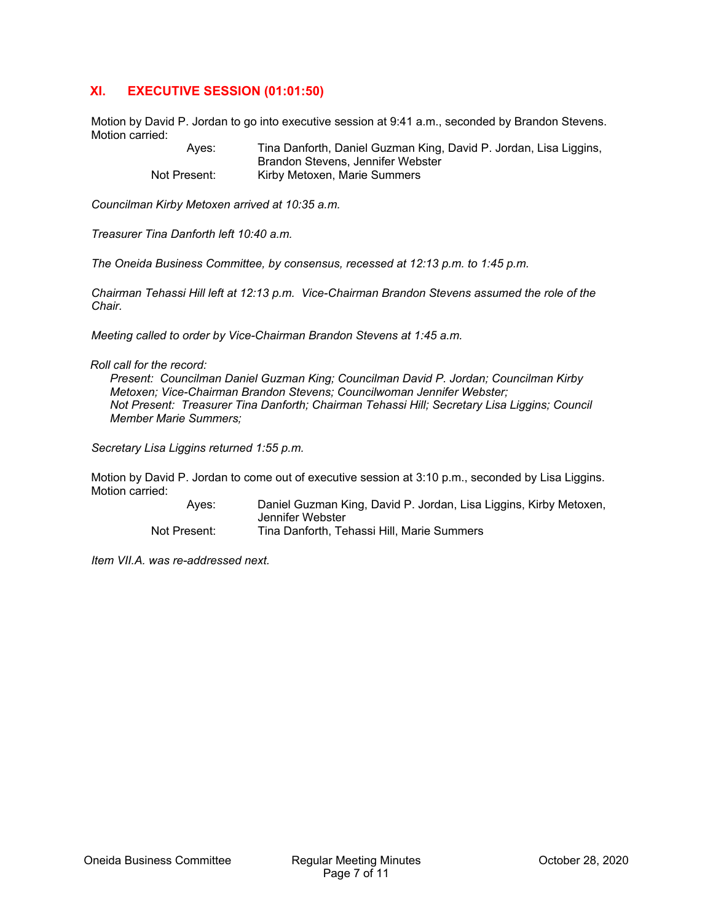# **XI. EXECUTIVE SESSION (01:01:50)**

Motion by David P. Jordan to go into executive session at 9:41 a.m., seconded by Brandon Stevens. Motion carried:

> Ayes: Tina Danforth, Daniel Guzman King, David P. Jordan, Lisa Liggins, Brandon Stevens, Jennifer Webster Not Present: Kirby Metoxen, Marie Summers

*Councilman Kirby Metoxen arrived at 10:35 a.m.* 

*Treasurer Tina Danforth left 10:40 a.m.* 

*The Oneida Business Committee, by consensus, recessed at 12:13 p.m. to 1:45 p.m.* 

*Chairman Tehassi Hill left at 12:13 p.m. Vice-Chairman Brandon Stevens assumed the role of the Chair.* 

*Meeting called to order by Vice-Chairman Brandon Stevens at 1:45 a.m.* 

*Roll call for the record:* 

*Present: Councilman Daniel Guzman King; Councilman David P. Jordan; Councilman Kirby Metoxen; Vice-Chairman Brandon Stevens; Councilwoman Jennifer Webster; Not Present: Treasurer Tina Danforth; Chairman Tehassi Hill; Secretary Lisa Liggins; Council Member Marie Summers;* 

*Secretary Lisa Liggins returned 1:55 p.m.* 

Motion by David P. Jordan to come out of executive session at 3:10 p.m., seconded by Lisa Liggins. Motion carried:

> Ayes: Daniel Guzman King, David P. Jordan, Lisa Liggins, Kirby Metoxen, Jennifer Webster Not Present: Tina Danforth, Tehassi Hill, Marie Summers

*Item VII.A. was re-addressed next.*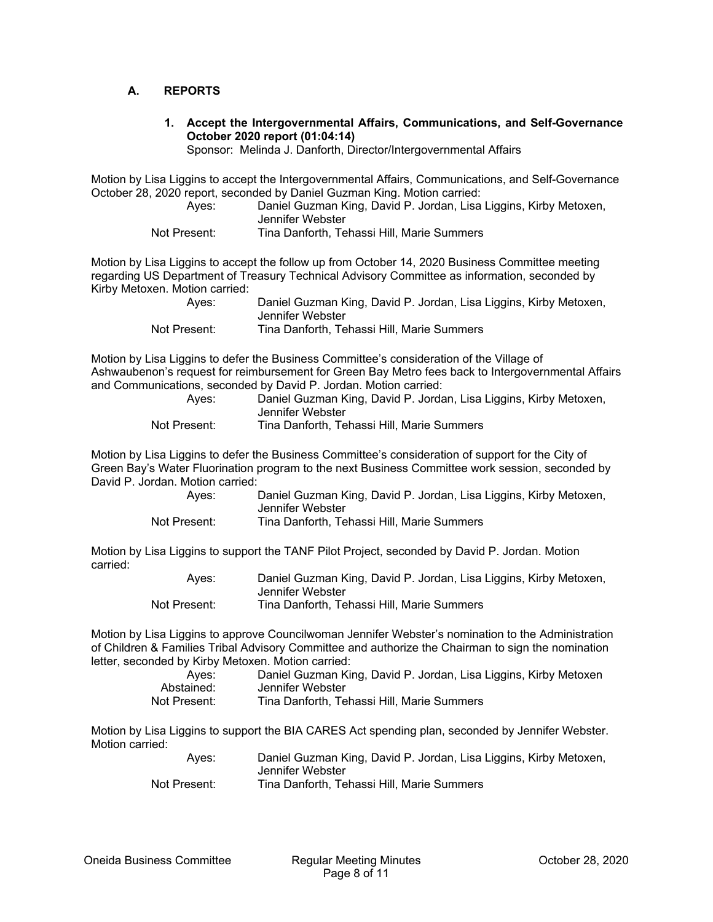## **A. REPORTS**

**1. Accept the Intergovernmental Affairs, Communications, and Self-Governance October 2020 report (01:04:14)** 

Sponsor: Melinda J. Danforth, Director/Intergovernmental Affairs

Motion by Lisa Liggins to accept the Intergovernmental Affairs, Communications, and Self-Governance October 28, 2020 report, seconded by Daniel Guzman King. Motion carried:

 Ayes: Daniel Guzman King, David P. Jordan, Lisa Liggins, Kirby Metoxen, Jennifer Webster

| Tina Danforth. Tehassi Hill. Marie Summers<br>Not Present: |  |  |  |  |  |
|------------------------------------------------------------|--|--|--|--|--|
|------------------------------------------------------------|--|--|--|--|--|

Motion by Lisa Liggins to accept the follow up from October 14, 2020 Business Committee meeting regarding US Department of Treasury Technical Advisory Committee as information, seconded by Kirby Metoxen. Motion carried:

| Aves:        | Daniel Guzman King, David P. Jordan, Lisa Liggins, Kirby Metoxen, |
|--------------|-------------------------------------------------------------------|
|              | Jennifer Webster                                                  |
| Not Present: | Tina Danforth, Tehassi Hill, Marie Summers                        |

Motion by Lisa Liggins to defer the Business Committee's consideration of the Village of Ashwaubenon's request for reimbursement for Green Bay Metro fees back to Intergovernmental Affairs and Communications, seconded by David P. Jordan. Motion carried:

 Ayes: Daniel Guzman King, David P. Jordan, Lisa Liggins, Kirby Metoxen, Jennifer Webster Not Present: Tina Danforth, Tehassi Hill, Marie Summers

Motion by Lisa Liggins to defer the Business Committee's consideration of support for the City of Green Bay's Water Fluorination program to the next Business Committee work session, seconded by David P. Jordan. Motion carried:

| Ayes:        | Daniel Guzman King, David P. Jordan, Lisa Liggins, Kirby Metoxen, |
|--------------|-------------------------------------------------------------------|
|              | Jennifer Webster                                                  |
| Not Present: | Tina Danforth, Tehassi Hill, Marie Summers                        |

Motion by Lisa Liggins to support the TANF Pilot Project, seconded by David P. Jordan. Motion carried:

| Aves:        | Daniel Guzman King, David P. Jordan, Lisa Liggins, Kirby Metoxen, |
|--------------|-------------------------------------------------------------------|
|              | Jennifer Webster                                                  |
| Not Present: | Tina Danforth, Tehassi Hill, Marie Summers                        |

Motion by Lisa Liggins to approve Councilwoman Jennifer Webster's nomination to the Administration of Children & Families Tribal Advisory Committee and authorize the Chairman to sign the nomination letter, seconded by Kirby Metoxen. Motion carried:

| Ayes:        | Daniel Guzman King, David P. Jordan, Lisa Liggins, Kirby Metoxen |
|--------------|------------------------------------------------------------------|
| Abstained:   | Jennifer Webster                                                 |
| Not Present: | Tina Danforth, Tehassi Hill, Marie Summers                       |

Motion by Lisa Liggins to support the BIA CARES Act spending plan, seconded by Jennifer Webster. Motion carried:

| Aves:        | Daniel Guzman King, David P. Jordan, Lisa Liggins, Kirby Metoxen, |
|--------------|-------------------------------------------------------------------|
|              | Jennifer Webster                                                  |
| Not Present: | Tina Danforth, Tehassi Hill, Marie Summers                        |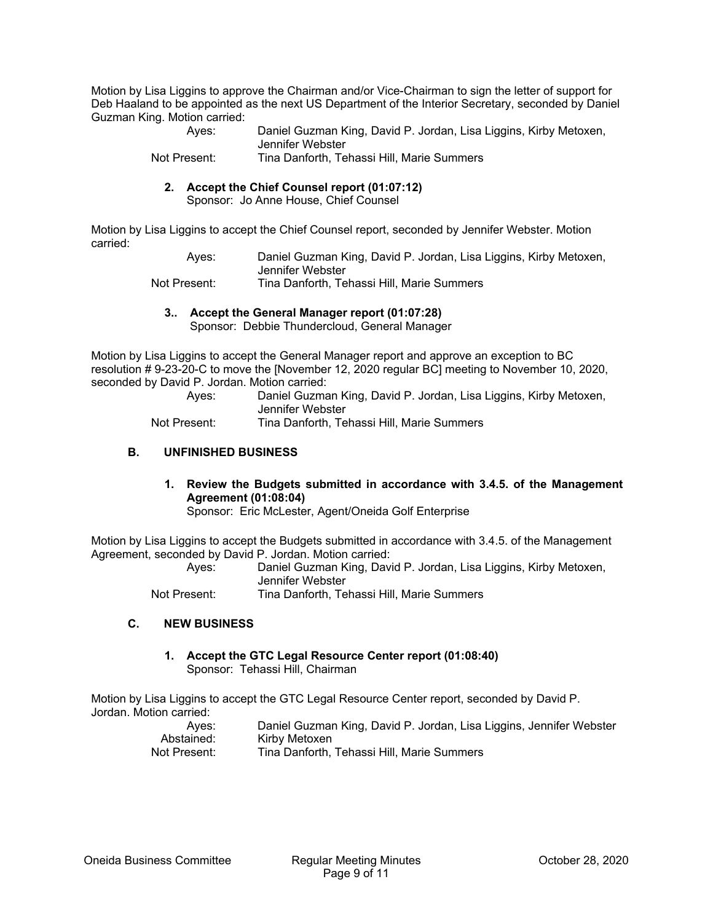Motion by Lisa Liggins to approve the Chairman and/or Vice-Chairman to sign the letter of support for Deb Haaland to be appointed as the next US Department of the Interior Secretary, seconded by Daniel Guzman King. Motion carried:

| Aves:        | Daniel Guzman King, David P. Jordan, Lisa Liggins, Kirby Metoxen, |
|--------------|-------------------------------------------------------------------|
|              | Jennifer Webster                                                  |
| Not Present: | Tina Danforth, Tehassi Hill, Marie Summers                        |

#### **2. Accept the Chief Counsel report (01:07:12)**

Sponsor: Jo Anne House, Chief Counsel

Motion by Lisa Liggins to accept the Chief Counsel report, seconded by Jennifer Webster. Motion carried:

> Ayes: Daniel Guzman King, David P. Jordan, Lisa Liggins, Kirby Metoxen, Jennifer Webster

Not Present: Tina Danforth, Tehassi Hill, Marie Summers

#### **3.. Accept the General Manager report (01:07:28)**

Sponsor: Debbie Thundercloud, General Manager

Motion by Lisa Liggins to accept the General Manager report and approve an exception to BC resolution # 9-23-20-C to move the [November 12, 2020 regular BC] meeting to November 10, 2020, seconded by David P. Jordan. Motion carried:

 Ayes: Daniel Guzman King, David P. Jordan, Lisa Liggins, Kirby Metoxen, Jennifer Webster

Not Present: Tina Danforth, Tehassi Hill, Marie Summers

#### **B. UNFINISHED BUSINESS**

**1. Review the Budgets submitted in accordance with 3.4.5. of the Management Agreement (01:08:04)** 

Sponsor: Eric McLester, Agent/Oneida Golf Enterprise

Motion by Lisa Liggins to accept the Budgets submitted in accordance with 3.4.5. of the Management Agreement, seconded by David P. Jordan. Motion carried:

 Ayes: Daniel Guzman King, David P. Jordan, Lisa Liggins, Kirby Metoxen, Jennifer Webster

Not Present: Tina Danforth, Tehassi Hill, Marie Summers

#### **C. NEW BUSINESS**

#### **1. Accept the GTC Legal Resource Center report (01:08:40)**  Sponsor: Tehassi Hill, Chairman

Motion by Lisa Liggins to accept the GTC Legal Resource Center report, seconded by David P. Jordan. Motion carried:

| Ayes:        | Daniel Guzman King, David P. Jordan, Lisa Liggins, Jennifer Webster |
|--------------|---------------------------------------------------------------------|
| Abstained:   | Kirby Metoxen                                                       |
| Not Present: | Tina Danforth, Tehassi Hill, Marie Summers                          |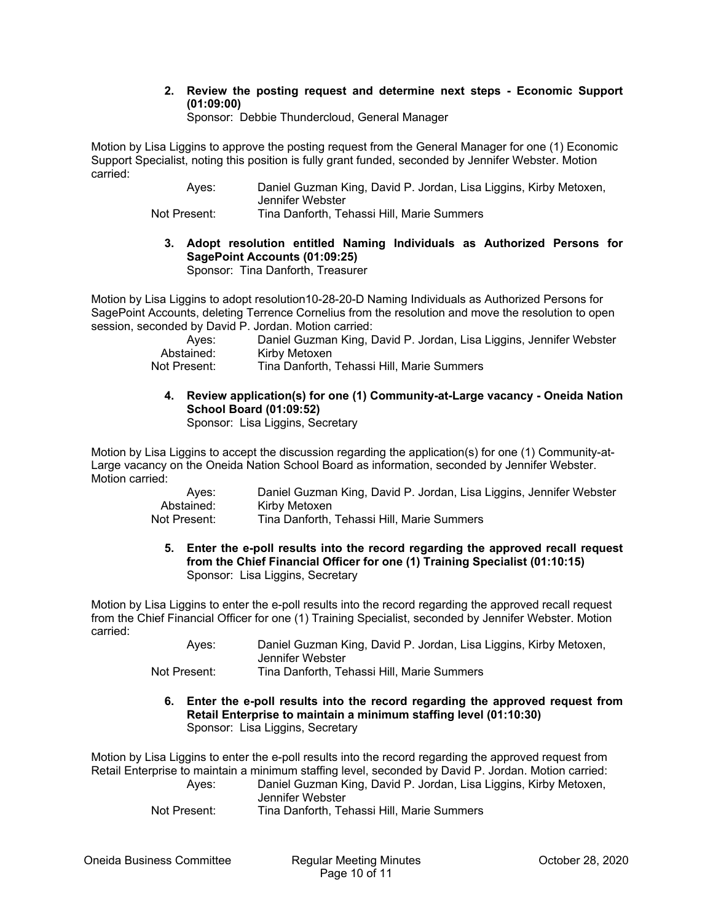#### **2. Review the posting request and determine next steps - Economic Support (01:09:00)**

Sponsor: Debbie Thundercloud, General Manager

Motion by Lisa Liggins to approve the posting request from the General Manager for one (1) Economic Support Specialist, noting this position is fully grant funded, seconded by Jennifer Webster. Motion carried:

 Ayes: Daniel Guzman King, David P. Jordan, Lisa Liggins, Kirby Metoxen, Jennifer Webster

Not Present: Tina Danforth, Tehassi Hill, Marie Summers

**3. Adopt resolution entitled Naming Individuals as Authorized Persons for SagePoint Accounts (01:09:25)** 

Sponsor: Tina Danforth, Treasurer

Motion by Lisa Liggins to adopt resolution10-28-20-D Naming Individuals as Authorized Persons for SagePoint Accounts, deleting Terrence Cornelius from the resolution and move the resolution to open session, seconded by David P. Jordan. Motion carried:

| Ayes:        | Daniel Guzman King, David P. Jordan, Lisa Liggins, Jennifer Webster |
|--------------|---------------------------------------------------------------------|
| Abstained:   | Kirby Metoxen                                                       |
| Not Present: | Tina Danforth, Tehassi Hill, Marie Summers                          |

# **4. Review application(s) for one (1) Community-at-Large vacancy - Oneida Nation School Board (01:09:52)**

Sponsor: Lisa Liggins, Secretary

Motion by Lisa Liggins to accept the discussion regarding the application(s) for one (1) Community-at-Large vacancy on the Oneida Nation School Board as information, seconded by Jennifer Webster. Motion carried:

| Ayes:        | Daniel Guzman King, David P. Jordan, Lisa Liggins, Jennifer Webster |
|--------------|---------------------------------------------------------------------|
| Abstained:   | Kirby Metoxen                                                       |
| Not Present: | Tina Danforth, Tehassi Hill, Marie Summers                          |

**5. Enter the e-poll results into the record regarding the approved recall request from the Chief Financial Officer for one (1) Training Specialist (01:10:15)**  Sponsor: Lisa Liggins, Secretary

Motion by Lisa Liggins to enter the e-poll results into the record regarding the approved recall request from the Chief Financial Officer for one (1) Training Specialist, seconded by Jennifer Webster. Motion carried:

 Ayes: Daniel Guzman King, David P. Jordan, Lisa Liggins, Kirby Metoxen, Jennifer Webster

Not Present: Tina Danforth, Tehassi Hill, Marie Summers

**6. Enter the e-poll results into the record regarding the approved request from Retail Enterprise to maintain a minimum staffing level (01:10:30)**  Sponsor: Lisa Liggins, Secretary

Motion by Lisa Liggins to enter the e-poll results into the record regarding the approved request from Retail Enterprise to maintain a minimum staffing level, seconded by David P. Jordan. Motion carried:

| Ayes: | Daniel Guzman King, David P. Jordan, Lisa Liggins, Kirby Metoxen, |
|-------|-------------------------------------------------------------------|
|       | Jennifer Webster                                                  |
|       |                                                                   |

Not Present: Tina Danforth, Tehassi Hill, Marie Summers